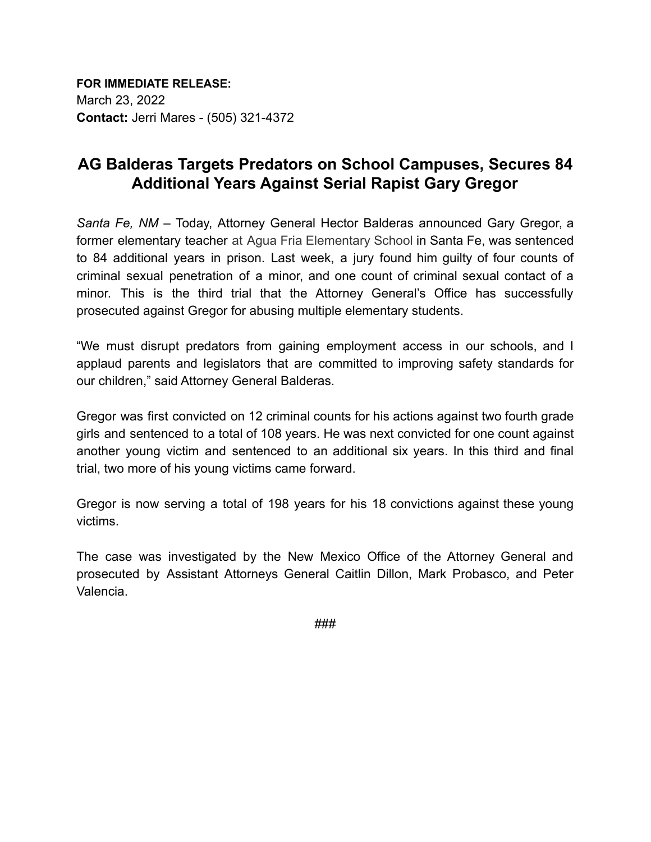**FOR IMMEDIATE RELEASE:** March 23, 2022 **Contact:** Jerri Mares - (505) 321-4372

## **AG Balderas Targets Predators on School Campuses, Secures 84 Additional Years Against Serial Rapist Gary Gregor**

*Santa Fe, NM* – Today, Attorney General Hector Balderas announced Gary Gregor, a former elementary teacher at Agua Fria Elementary School in Santa Fe, was sentenced to 84 additional years in prison. Last week, a jury found him guilty of four counts of criminal sexual penetration of a minor, and one count of criminal sexual contact of a minor. This is the third trial that the Attorney General's Office has successfully prosecuted against Gregor for abusing multiple elementary students.

"We must disrupt predators from gaining employment access in our schools, and I applaud parents and legislators that are committed to improving safety standards for our children," said Attorney General Balderas.

Gregor was first convicted on 12 criminal counts for his actions against two fourth grade girls and sentenced to a total of 108 years. He was next convicted for one count against another young victim and sentenced to an additional six years. In this third and final trial, two more of his young victims came forward.

Gregor is now serving a total of 198 years for his 18 convictions against these young victims.

The case was investigated by the New Mexico Office of the Attorney General and prosecuted by Assistant Attorneys General Caitlin Dillon, Mark Probasco, and Peter Valencia.

###